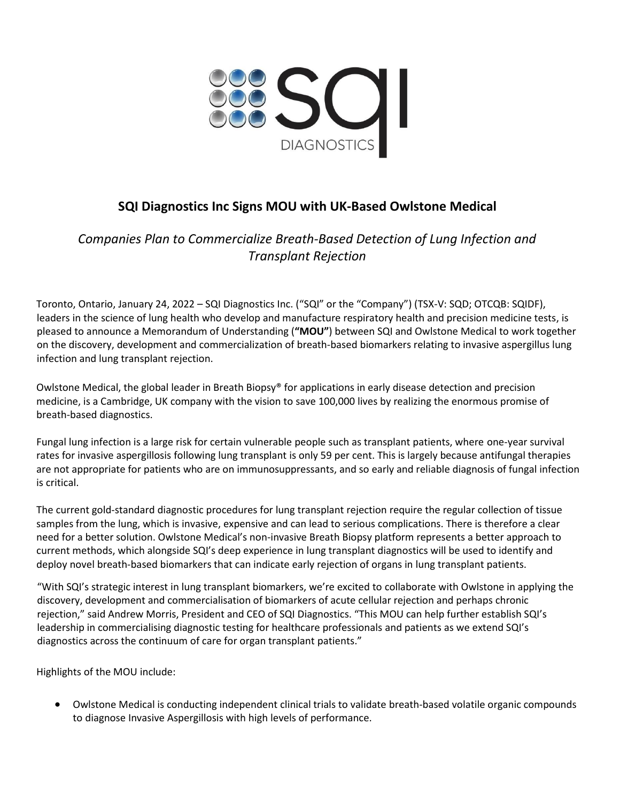

# **SQI Diagnostics Inc Signs MOU with UK-Based Owlstone Medical**

*Companies Plan to Commercialize Breath-Based Detection of Lung Infection and Transplant Rejection*

Toronto, Ontario, January 24, 2022 – SQI Diagnostics Inc. ("SQI" or the "Company") (TSX-V: SQD; OTCQB: SQIDF), leaders in the science of lung health who develop and manufacture respiratory health and precision medicine tests, is pleased to announce a Memorandum of Understanding (**"MOU"**) between SQI and Owlstone Medical to work together on the discovery, development and commercialization of breath-based biomarkers relating to invasive aspergillus lung infection and lung transplant rejection.

Owlstone Medical, the global leader in Breath Biopsy® for applications in early disease detection and precision medicine, is a Cambridge, UK company with the vision to save 100,000 lives by realizing the enormous promise of breath-based diagnostics.

Fungal lung infection is a large risk for certain vulnerable people such as transplant patients, where one-year survival rates for invasive aspergillosis following lung transplant is only 59 per cent. This is largely because antifungal therapies are not appropriate for patients who are on immunosuppressants, and so early and reliable diagnosis of fungal infection is critical.

The current gold-standard diagnostic procedures for lung transplant rejection require the regular collection of tissue samples from the lung, which is invasive, expensive and can lead to serious complications. There is therefore a clear need for a better solution. Owlstone Medical's non-invasive Breath Biopsy platform represents a better approach to current methods, which alongside SQI's deep experience in lung transplant diagnostics will be used to identify and deploy novel breath-based biomarkers that can indicate early rejection of organs in lung transplant patients.

"With SQI's strategic interest in lung transplant biomarkers, we're excited to collaborate with Owlstone in applying the discovery, development and commercialisation of biomarkers of acute cellular rejection and perhaps chronic rejection," said Andrew Morris, President and CEO of SQI Diagnostics. "This MOU can help further establish SQI's leadership in commercialising diagnostic testing for healthcare professionals and patients as we extend SQI's diagnostics across the continuum of care for organ transplant patients."

Highlights of the MOU include:

• Owlstone Medical is conducting independent clinical trials to validate breath-based volatile organic compounds to diagnose Invasive Aspergillosis with high levels of performance.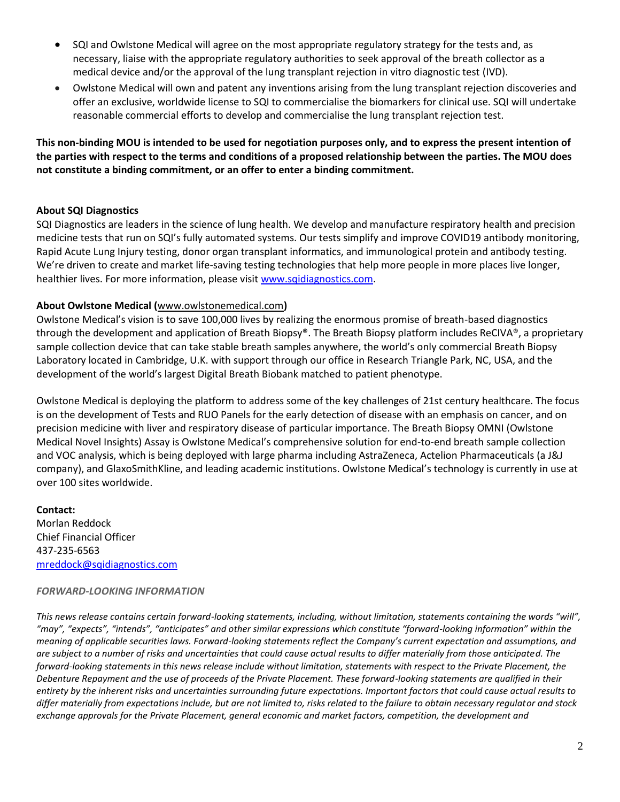- SQI and Owlstone Medical will agree on the most appropriate regulatory strategy for the tests and, as necessary, liaise with the appropriate regulatory authorities to seek approval of the breath collector as a medical device and/or the approval of the lung transplant rejection in vitro diagnostic test (IVD).
- Owlstone Medical will own and patent any inventions arising from the lung transplant rejection discoveries and offer an exclusive, worldwide license to SQI to commercialise the biomarkers for clinical use. SQI will undertake reasonable commercial efforts to develop and commercialise the lung transplant rejection test.

**This non-binding MOU is intended to be used for negotiation purposes only, and to express the present intention of the parties with respect to the terms and conditions of a proposed relationship between the parties. The MOU does not constitute a binding commitment, or an offer to enter a binding commitment.**

## **About SQI Diagnostics**

SQI Diagnostics are leaders in the science of lung health. We develop and manufacture respiratory health and precision medicine tests that run on SQI's fully automated systems. Our tests simplify and improve COVID19 antibody monitoring, Rapid Acute Lung Injury testing, donor organ transplant informatics, and immunological protein and antibody testing. We're driven to create and market life-saving testing technologies that help more people in more places live longer, healthier lives. For more information, please visi[t www.sqidiagnostics.com.](http://www.sqidiagnostics.com/)

## **About Owlstone Medical (**[www.owlstonemedical.com](http://www.owlstonemedical.com/)**)**

Owlstone Medical's vision is to save 100,000 lives by realizing the enormous promise of breath-based diagnostics through the development and application of Breath Biopsy®. The Breath Biopsy platform includes ReCIVA®, a proprietary sample collection device that can take stable breath samples anywhere, the world's only commercial Breath Biopsy Laboratory located in Cambridge, U.K. with support through our office in Research Triangle Park, NC, USA, and the development of the world's largest Digital Breath Biobank matched to patient phenotype.

Owlstone Medical is deploying the platform to address some of the key challenges of 21st century healthcare. The focus is on the development of Tests and RUO Panels for the early detection of disease with an emphasis on cancer, and on precision medicine with liver and respiratory disease of particular importance. The Breath Biopsy OMNI (Owlstone Medical Novel Insights) Assay is Owlstone Medical's comprehensive solution for end-to-end breath sample collection and VOC analysis, which is being deployed with large pharma including AstraZeneca, Actelion Pharmaceuticals (a J&J company), and GlaxoSmithKline, and leading academic institutions. Owlstone Medical's technology is currently in use at over 100 sites worldwide.

## **Contact:** Morlan Reddock Chief Financial Officer 437-235-6563 [mreddock@sqidiagnostics.com](mailto:mreddock@sqidiagnostics.com)

#### *FORWARD-LOOKING INFORMATION*

*This news release contains certain forward-looking statements, including, without limitation, statements containing the words "will", "may", "expects", "intends", "anticipates" and other similar expressions which constitute "forward-looking information" within the meaning of applicable securities laws. Forward-looking statements reflect the Company's current expectation and assumptions, and are subject to a number of risks and uncertainties that could cause actual results to differ materially from those anticipated. The forward-looking statements in this news release include without limitation, statements with respect to the Private Placement, the Debenture Repayment and the use of proceeds of the Private Placement. These forward-looking statements are qualified in their entirety by the inherent risks and uncertainties surrounding future expectations. Important factors that could cause actual results to differ materially from expectations include, but are not limited to, risks related to the failure to obtain necessary regulator and stock exchange approvals for the Private Placement, general economic and market factors, competition, the development and*